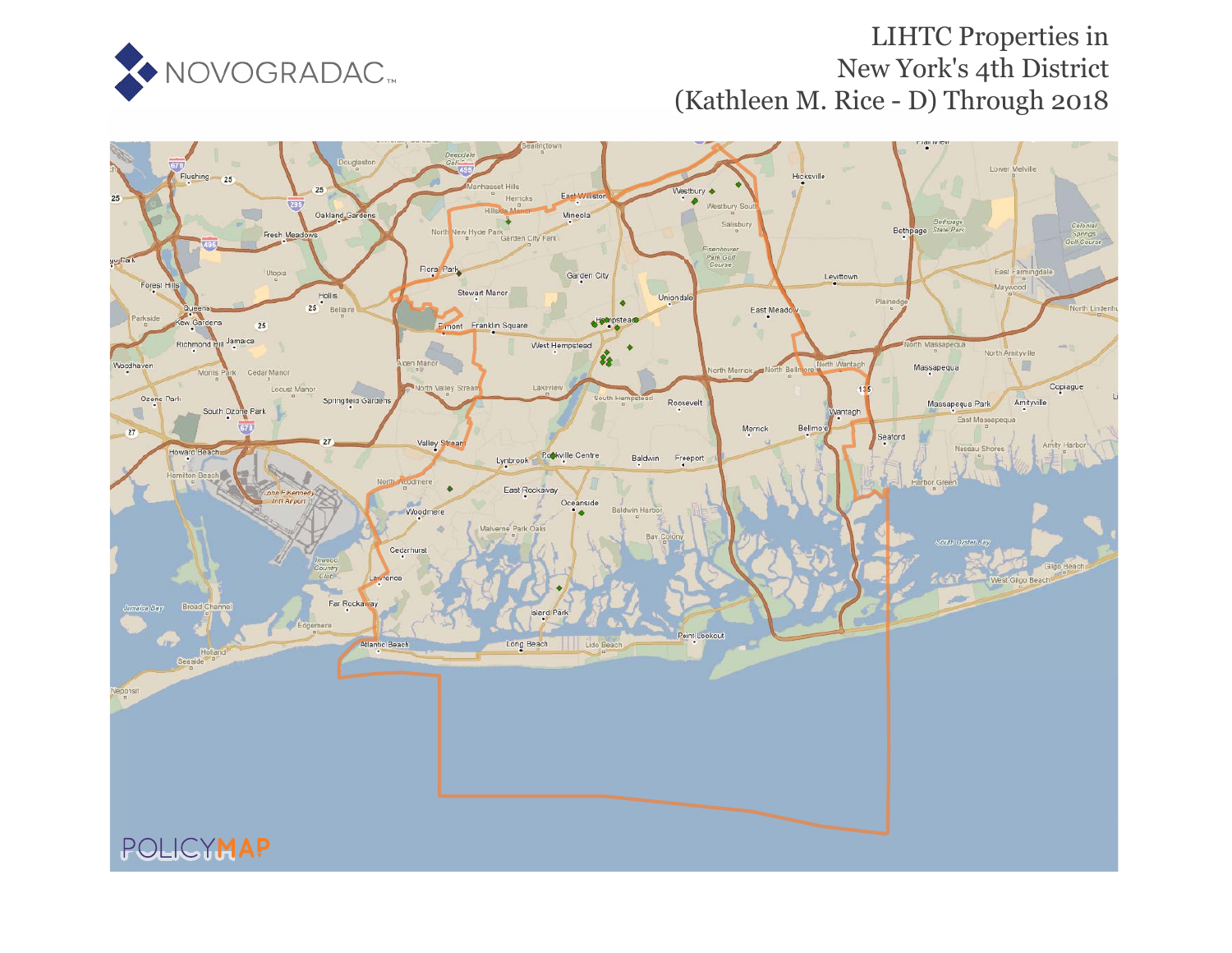

## LIHTC Properties in New York's 4th District (Kathleen M. Rice - D) Through 2018

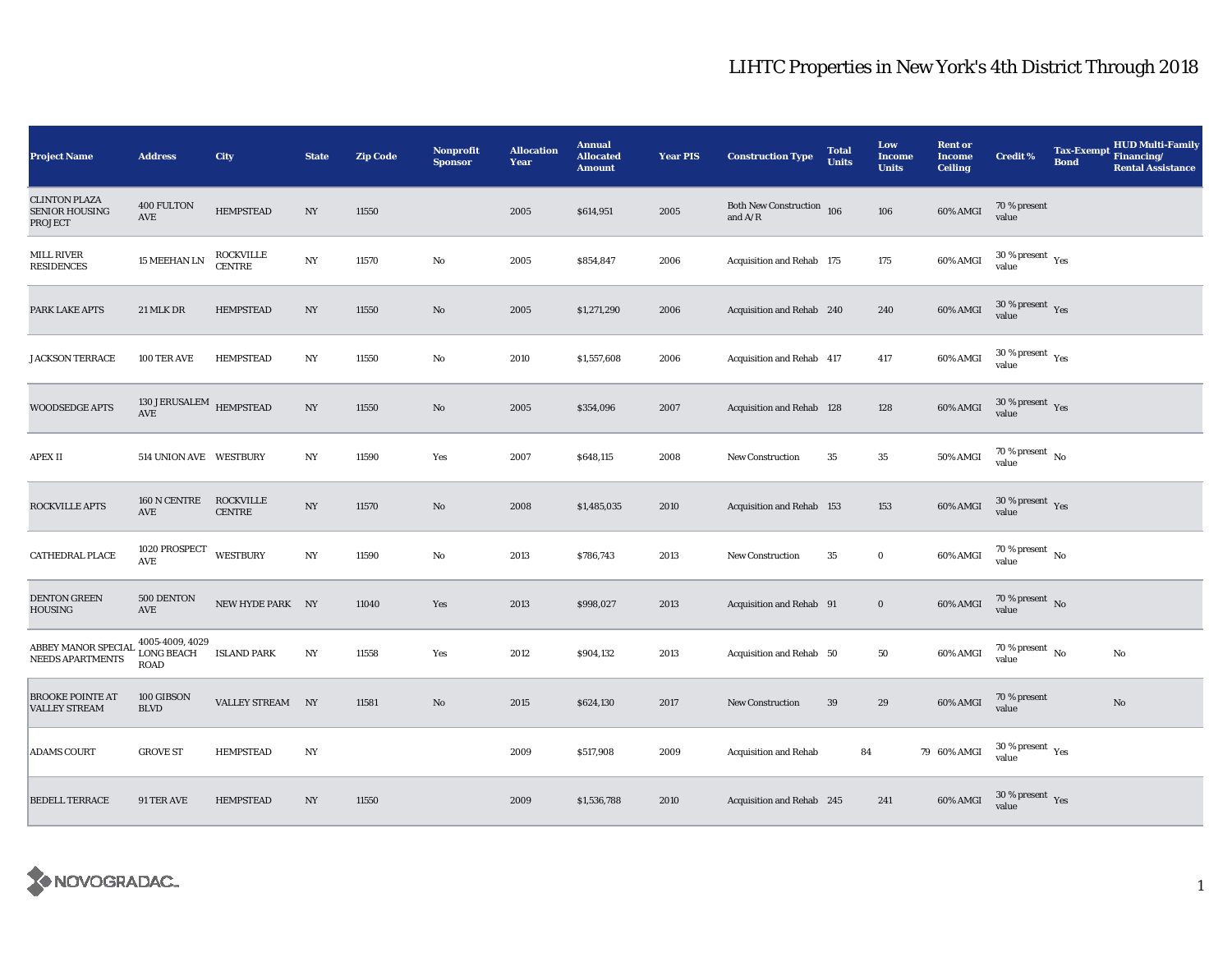## LIHTC Properties in New York's 4th District Through 2018

| <b>Project Name</b>                                      | <b>Address</b>                                               | City                              | <b>State</b>     | <b>Zip Code</b> | <b>Nonprofit</b><br><b>Sponsor</b> | <b>Allocation</b><br>Year | <b>Annual</b><br><b>Allocated</b><br><b>Amount</b> | <b>Year PIS</b> | <b>Construction Type</b>                         | <b>Total</b><br><b>Units</b> | Low<br><b>Income</b><br><b>Units</b> | <b>Rent or</b><br><b>Income</b><br><b>Ceiling</b> | <b>Credit %</b>                              | <b>Tax-Exempt</b><br><b>Bond</b> | <b>HUD Multi-Family</b><br>Financing/<br><b>Rental Assistance</b> |
|----------------------------------------------------------|--------------------------------------------------------------|-----------------------------------|------------------|-----------------|------------------------------------|---------------------------|----------------------------------------------------|-----------------|--------------------------------------------------|------------------------------|--------------------------------------|---------------------------------------------------|----------------------------------------------|----------------------------------|-------------------------------------------------------------------|
| <b>CLINTON PLAZA</b><br><b>SENIOR HOUSING</b><br>PROJECT | 400 FULTON<br>AVE                                            | <b>HEMPSTEAD</b>                  | $_{\mathrm{NY}}$ | 11550           |                                    | 2005                      | \$614,951                                          | 2005            | Both New Construction $\,$ 106 $\,$ and A/R $\,$ |                              | 106                                  | 60% AMGI                                          | 70 % present<br>value                        |                                  |                                                                   |
| <b>MILL RIVER</b><br><b>RESIDENCES</b>                   | 15 MEEHAN LN                                                 | <b>ROCKVILLE</b><br><b>CENTRE</b> | $_{\mathrm{NY}}$ | 11570           | No                                 | 2005                      | \$854,847                                          | 2006            | Acquisition and Rehab 175                        |                              | 175                                  | 60% AMGI                                          | $30\,\%$ present $\,$ $\rm Yes$<br>value     |                                  |                                                                   |
| PARK LAKE APTS                                           | 21 MLK DR                                                    | <b>HEMPSTEAD</b>                  | $_{\mathrm{NY}}$ | 11550           | No                                 | 2005                      | \$1,271,290                                        | 2006            | Acquisition and Rehab 240                        |                              | 240                                  | 60% AMGI                                          | 30 % present $\gamma_{\rm{es}}$<br>value     |                                  |                                                                   |
| <b>JACKSON TERRACE</b>                                   | 100 TER AVE                                                  | <b>HEMPSTEAD</b>                  | N <sub>Y</sub>   | 11550           | No                                 | 2010                      | \$1,557,608                                        | 2006            | Acquisition and Rehab 417                        |                              | 417                                  | 60% AMGI                                          | $30$ % present $\rm\thinspace\,Yes$<br>value |                                  |                                                                   |
| <b>WOODSEDGE APTS</b>                                    | $130\rm\,JERUSALEM$ $\rm{HEMPSTEAD}$<br>$\operatorname{AVE}$ |                                   | $_{\mathrm{NY}}$ | 11550           | $\mathbf{No}$                      | 2005                      | \$354,096                                          | 2007            | Acquisition and Rehab 128                        |                              | 128                                  | 60% AMGI                                          | $30$ % present $\,$ $\rm Yes$<br>value       |                                  |                                                                   |
| <b>APEX II</b>                                           | 514 UNION AVE WESTBURY                                       |                                   | $_{\mathrm{NY}}$ | 11590           | Yes                                | 2007                      | \$648,115                                          | 2008            | <b>New Construction</b>                          | 35                           | $\bf 35$                             | 50% AMGI                                          | 70 % present $\hbox{~No}$<br>value           |                                  |                                                                   |
| ROCKVILLE APTS                                           | 160 N CENTRE<br>AVE                                          | ROCKVILLE<br><b>CENTRE</b>        | $_{\mathrm{NY}}$ | 11570           | $\mathbf{N}\mathbf{o}$             | 2008                      | \$1,485,035                                        | 2010            | Acquisition and Rehab 153                        |                              | 153                                  | 60% AMGI                                          | $30\,\%$ present $\,$ Yes value              |                                  |                                                                   |
| CATHEDRAL PLACE                                          | 1020 PROSPECT<br>$\operatorname{\mathbf{AVE}}$               | <b>WESTBURY</b>                   | $_{\mathrm{NY}}$ | 11590           | No                                 | 2013                      | \$786,743                                          | 2013            | New Construction                                 | 35                           | $\bf{0}$                             | 60% AMGI                                          | $70\,\%$ present $\,$ No value               |                                  |                                                                   |
| <b>DENTON GREEN</b><br><b>HOUSING</b>                    | 500 DENTON<br>AVE                                            | NEW HYDE PARK NY                  |                  | 11040           | Yes                                | 2013                      | \$998,027                                          | 2013            | Acquisition and Rehab 91                         |                              | $\mathbf 0$                          | 60% AMGI                                          | $70$ % present $$\rm \, No$$ value           |                                  |                                                                   |
| ABBEY MANOR SPECIAL<br>NEEDS APARTMENTS                  | 4005-4009, 4029<br><b>LONG BEACH</b><br><b>ROAD</b>          | <b>ISLAND PARK</b>                | $_{\mathrm{NY}}$ | 11558           | Yes                                | 2012                      | \$904,132                                          | 2013            | Acquisition and Rehab 50                         |                              | 50                                   | 60% AMGI                                          | 70 % present $\hbox{~No}$<br>value           |                                  | No                                                                |
| <b>BROOKE POINTE AT</b><br><b>VALLEY STREAM</b>          | 100 GIBSON<br><b>BLVD</b>                                    | <b>VALLEY STREAM</b>              | NY               | 11581           | No                                 | 2015                      | \$624,130                                          | 2017            | New Construction                                 | 39                           | 29                                   | 60% AMGI                                          | 70 % present<br>value                        |                                  | No                                                                |
| <b>ADAMS COURT</b>                                       | <b>GROVE ST</b>                                              | <b>HEMPSTEAD</b>                  | $_{\mathrm{NY}}$ |                 |                                    | 2009                      | \$517,908                                          | 2009            | <b>Acquisition and Rehab</b>                     | 84                           |                                      | 79 60% AMGI                                       | $30\,\%$ present $\,$ Yes value              |                                  |                                                                   |
| <b>BEDELL TERRACE</b>                                    | 91 TER AVE                                                   | <b>HEMPSTEAD</b>                  | NY.              | 11550           |                                    | 2009                      | \$1,536,788                                        | 2010            | Acquisition and Rehab 245                        |                              | 241                                  | 60% AMGI                                          | $30\,\%$ present $\,$ Yes value              |                                  |                                                                   |

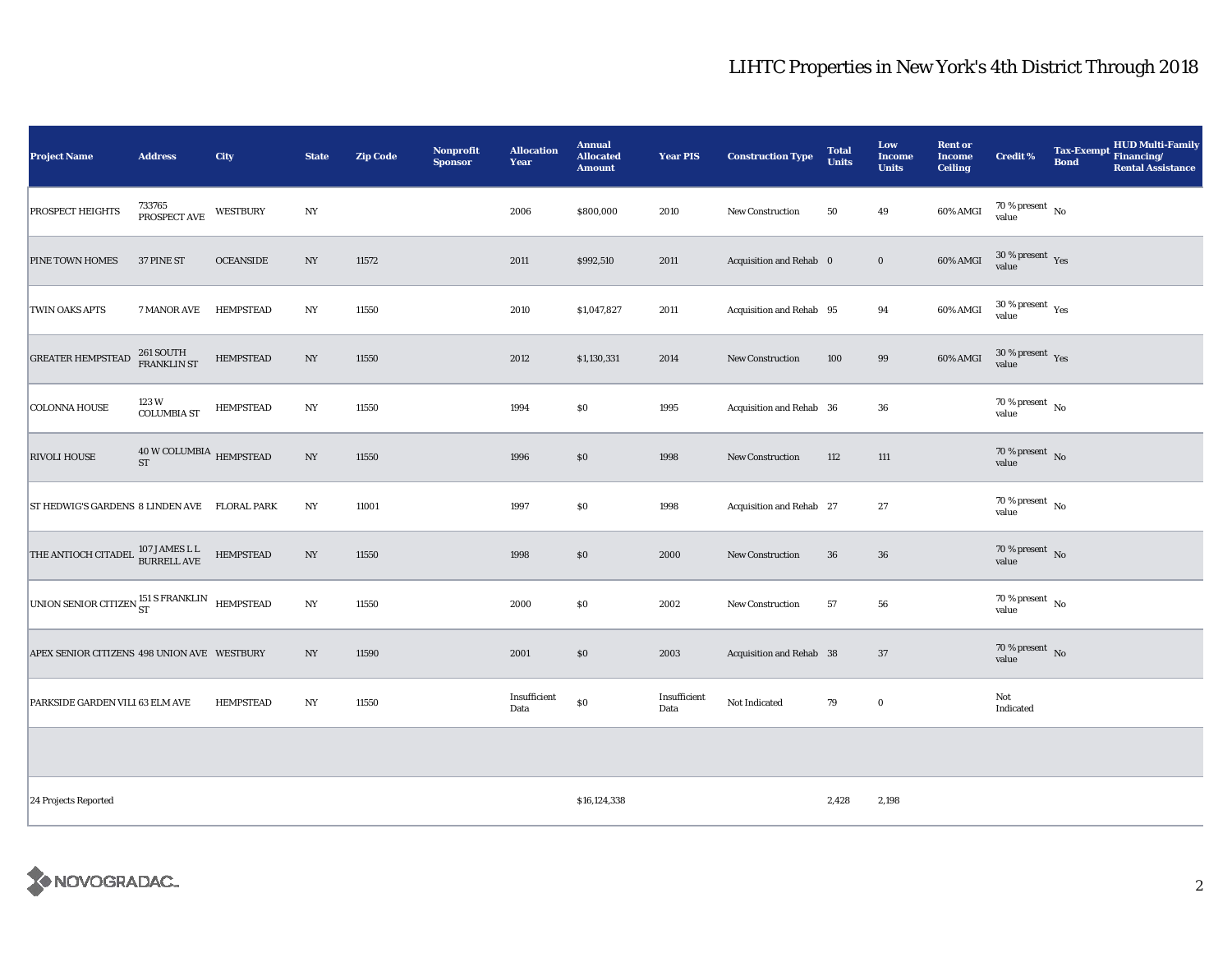## LIHTC Properties in New York's 4th District Through 2018

| <b>Project Name</b>                          | <b>Address</b>                                    | City             | <b>State</b>     | <b>Zip Code</b> | Nonprofit<br><b>Sponsor</b> | <b>Allocation</b><br>Year | <b>Annual</b><br><b>Allocated</b><br><b>Amount</b> | <b>Year PIS</b>      | <b>Construction Type</b> | <b>Total</b><br><b>Units</b> | Low<br><b>Income</b><br><b>Units</b> | <b>Rent or</b><br><b>Income</b><br><b>Ceiling</b> | <b>Credit %</b>                      | Tax-Exempt Financing/<br><b>Bond</b> | <b>HUD Multi-Family</b><br><b>Rental Assistance</b> |
|----------------------------------------------|---------------------------------------------------|------------------|------------------|-----------------|-----------------------------|---------------------------|----------------------------------------------------|----------------------|--------------------------|------------------------------|--------------------------------------|---------------------------------------------------|--------------------------------------|--------------------------------------|-----------------------------------------------------|
| <b>PROSPECT HEIGHTS</b>                      | 733765<br>PROSPECT AVE                            | <b>WESTBURY</b>  | NY               |                 |                             | 2006                      | \$800,000                                          | 2010                 | <b>New Construction</b>  | 50                           | 49                                   | 60% AMGI                                          | $70\,\%$ present $\,$ No value       |                                      |                                                     |
| PINE TOWN HOMES                              | 37 PINE ST                                        | <b>OCEANSIDE</b> | $_{\mathrm{NY}}$ | 11572           |                             | 2011                      | \$992,510                                          | 2011                 | Acquisition and Rehab 0  |                              | $\bf{0}$                             | 60% AMGI                                          | $30\,\%$ present $\,$ Yes value      |                                      |                                                     |
| TWIN OAKS APTS                               | 7 MANOR AVE                                       | <b>HEMPSTEAD</b> | NY               | 11550           |                             | 2010                      | \$1,047,827                                        | 2011                 | Acquisition and Rehab 95 |                              | 94                                   | 60% AMGI                                          | $30\,\%$ present $\,$ Yes value      |                                      |                                                     |
| <b>GREATER HEMPSTEAD</b>                     | 261 SOUTH<br>FRANKLIN ST                          | <b>HEMPSTEAD</b> | $_{\mathrm{NY}}$ | 11550           |                             | 2012                      | \$1,130,331                                        | 2014                 | New Construction         | 100                          | 99                                   | 60% AMGI                                          | $30\,\%$ present $\,$ Yes value      |                                      |                                                     |
| <b>COLONNA HOUSE</b>                         | 123 W<br><b>COLUMBIA ST</b>                       | <b>HEMPSTEAD</b> | $_{\mathrm{NY}}$ | 11550           |                             | 1994                      | \$0                                                | 1995                 | Acquisition and Rehab 36 |                              | 36                                   |                                                   | $70$ % present $\,$ No $\,$<br>value |                                      |                                                     |
| <b>RIVOLI HOUSE</b>                          | $40\,\rm{W}$ COLUMBIA $\,$ HEMPSTEAD<br><b>ST</b> |                  | $_{\mathrm{NY}}$ | 11550           |                             | 1996                      | \$0                                                | 1998                 | New Construction         | 112                          | 111                                  |                                                   | $70\,\%$ present $\,$ No value       |                                      |                                                     |
| ST HEDWIG'S GARDENS 8 LINDEN AVE FLORAL PARK |                                                   |                  | $_{\mathrm{NY}}$ | 11001           |                             | 1997                      | \$0                                                | 1998                 | Acquisition and Rehab 27 |                              | 27                                   |                                                   | $70\,\%$ present $\,$ No value       |                                      |                                                     |
| THE ANTIOCH CITADEL 107 JAMES L L            |                                                   | <b>HEMPSTEAD</b> | NY               | 11550           |                             | 1998                      | \$0                                                | 2000                 | <b>New Construction</b>  | 36                           | 36                                   |                                                   | $70\,\%$ present $\,$ No value       |                                      |                                                     |
| UNION SENIOR CITIZEN ST SERANKLIN HEMPSTEAD  |                                                   |                  | $_{\mathrm{NY}}$ | 11550           |                             | 2000                      | \$0                                                | 2002                 | New Construction         | 57                           | 56                                   |                                                   | $70\,\%$ present $\,$ No value       |                                      |                                                     |
| APEX SENIOR CITIZENS 498 UNION AVE WESTBURY  |                                                   |                  | NY               | 11590           |                             | 2001                      | \$0                                                | 2003                 | Acquisition and Rehab 38 |                              | $37\,$                               |                                                   | 70 % present $\hbox{~No}$<br>value   |                                      |                                                     |
| PARKSIDE GARDEN VILI 63 ELM AVE              |                                                   | <b>HEMPSTEAD</b> | $_{\mathrm{NY}}$ | 11550           |                             | Insufficient<br>Data      | $\$0$                                              | Insufficient<br>Data | Not Indicated            | 79                           | $\bf{0}$                             |                                                   | Not<br>Indicated                     |                                      |                                                     |
|                                              |                                                   |                  |                  |                 |                             |                           |                                                    |                      |                          |                              |                                      |                                                   |                                      |                                      |                                                     |
| 24 Projects Reported                         |                                                   |                  |                  |                 |                             |                           | \$16,124,338                                       |                      |                          | 2,428                        | 2,198                                |                                                   |                                      |                                      |                                                     |